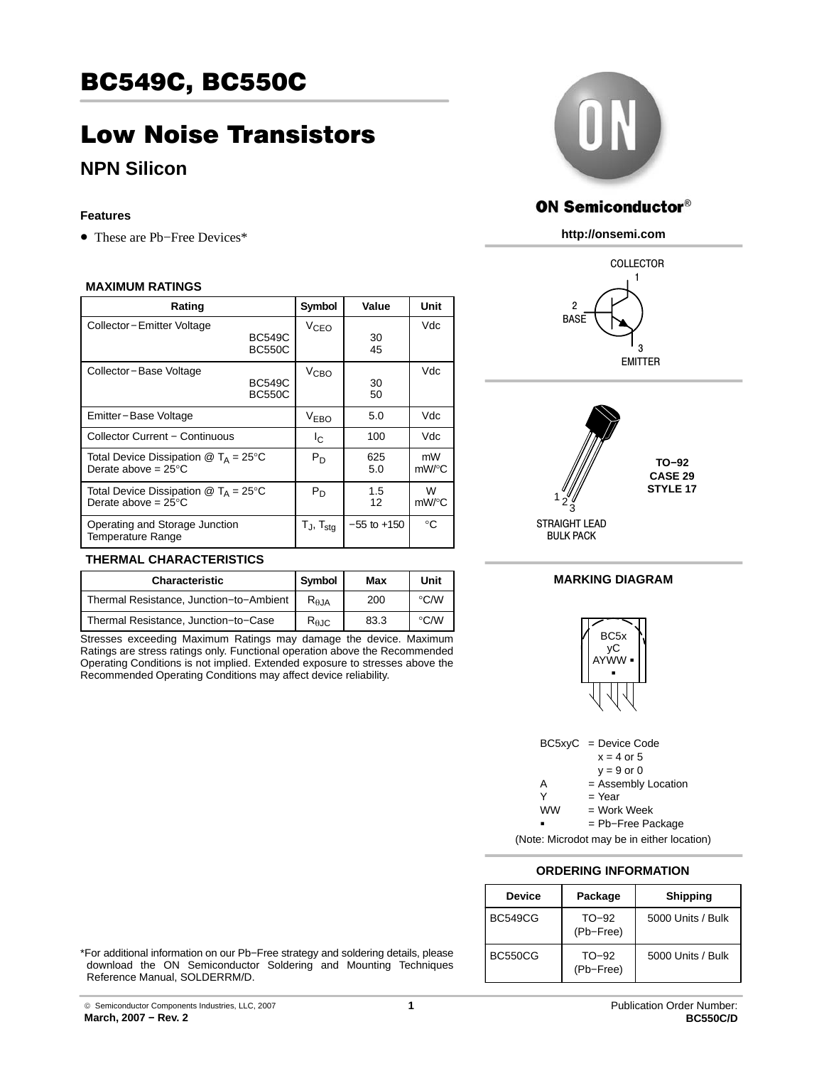# BC549C, BC550C

# Low Noise Transistors

## **NPN Silicon**

#### **Features**

• These are Pb−Free Devices\*

#### **MAXIMUM RATINGS**

| Rating                                                                                        |                                | Symbol                   | Value           | Unit        |
|-----------------------------------------------------------------------------------------------|--------------------------------|--------------------------|-----------------|-------------|
| Collector-Emitter Voltage                                                                     | <b>BC549C</b><br><b>BC550C</b> | V <sub>CEO</sub>         | 30<br>45        | Vdc         |
| Collector-Base Voltage                                                                        | <b>BC549C</b><br><b>BC550C</b> | V <sub>CBO</sub>         | 30<br>50        | Vdc         |
| Emitter-Base Voltage                                                                          |                                | <b>VEBO</b>              | 5.0             | Vdc         |
| <b>Collector Current - Continuous</b>                                                         |                                | Ιc                       | 100             | Vdc         |
| Total Device Dissipation $@T_A = 25^\circ C$<br>Derate above = $25^{\circ}$ C                 |                                | Pn                       | 625<br>5.0      | mW<br>mW/°C |
| Total Device Dissipation $\mathcal{Q}$ T <sub>A</sub> = 25°C<br>Derate above = $25^{\circ}$ C |                                | $P_D$                    | 1.5<br>12       | W<br>mW/°C  |
| Operating and Storage Junction<br><b>Temperature Range</b>                                    |                                | $T_J$ , $T_{\text{stq}}$ | $-55$ to $+150$ | °C          |

### **THERMAL CHARACTERISTICS**

| <b>Characteristic</b>                   | Symbol                 | Max  | Unit               |
|-----------------------------------------|------------------------|------|--------------------|
| Thermal Resistance, Junction-to-Ambient | $R_{\theta,JA}$        | 200  | $\rm ^{\circ}$ C/W |
| Thermal Resistance, Junction-to-Case    | $R_{\theta \text{JC}}$ | 83.3 | $\rm ^{\circ}$ C/W |

Stresses exceeding Maximum Ratings may damage the device. Maximum Ratings are stress ratings only. Functional operation above the Recommended Operating Conditions is not implied. Extended exposure to stresses above the Recommended Operating Conditions may affect device reliability.



## **ON Semiconductor®**

**http://onsemi.com**





**MARKING DIAGRAM**



BC5xyC = Device Code  $x = 4$  or 5  $y = 9$  or 0 A = Assembly Location  $=$  Year  $=$  Work Week **WW** = Pb−Free Package

(Note: Microdot may be in either location)

### **ORDERING INFORMATION**

| <b>Device</b>  | Package              | <b>Shipping</b>   |
|----------------|----------------------|-------------------|
| <b>BC549CG</b> | $TO-92$<br>(Pb-Free) | 5000 Units / Bulk |
| BC550CG        | $TO-92$<br>(Pb-Free) | 5000 Units / Bulk |

\*For additional information on our Pb−Free strategy and soldering details, please download the ON Semiconductor Soldering and Mounting Techniques Reference Manual, SOLDERRM/D.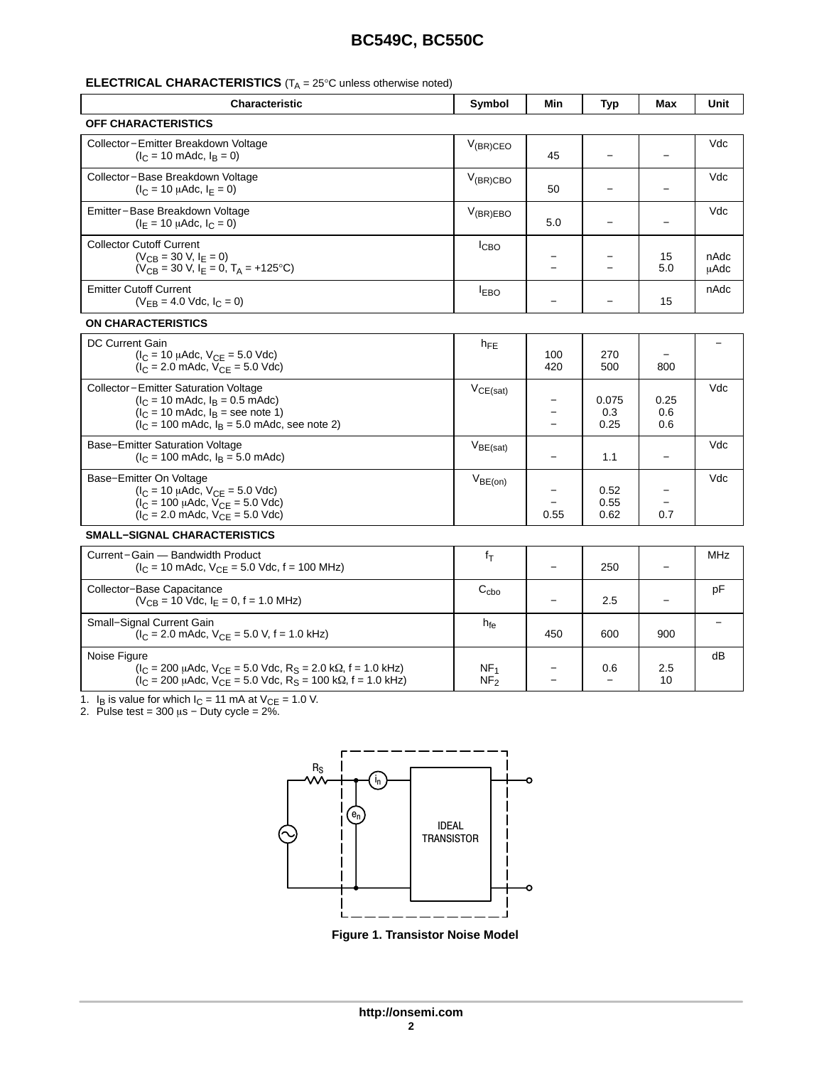## **BC549C, BC550C**

#### **ELECTRICAL CHARACTERISTICS** (T<sub>A</sub> = 25°C unless otherwise noted)

| <b>Characteristic</b>                                                                                                                                                                         | Symbol           | Min                      | <b>Typ</b>               | Max                | Unit                |  |
|-----------------------------------------------------------------------------------------------------------------------------------------------------------------------------------------------|------------------|--------------------------|--------------------------|--------------------|---------------------|--|
| <b>OFF CHARACTERISTICS</b>                                                                                                                                                                    |                  |                          |                          |                    |                     |  |
| Collector-Emitter Breakdown Voltage<br>$(I_C = 10 \text{ m}$ Adc, $I_B = 0$ )                                                                                                                 | $V_{(BR)CEO}$    | 45                       |                          |                    | Vdc                 |  |
| Collector-Base Breakdown Voltage<br>$(I_C = 10 \mu A dC, I_F = 0)$                                                                                                                            | $V_{(BR)CBO}$    | 50                       |                          |                    | Vdc                 |  |
| Emitter-Base Breakdown Voltage<br>$(I_F = 10 \mu \text{Adc}, I_C = 0)$                                                                                                                        | $V_{(BR)EBO}$    | 5.0                      |                          |                    | Vdc                 |  |
| <b>Collector Cutoff Current</b><br>$(V_{CR} = 30 V, I_F = 0)$<br>$(V_{CB} = 30 V, I_E = 0, T_A = +125°C)$                                                                                     | I <sub>CBO</sub> |                          |                          | 15<br>5.0          | nAdc<br><b>µAdc</b> |  |
| <b>Emitter Cutoff Current</b><br>$(V_{FB} = 4.0$ Vdc, $I_C = 0$ )                                                                                                                             | <b>IEBO</b>      |                          | $\overline{\phantom{0}}$ | 15                 | nAdc                |  |
| <b>ON CHARACTERISTICS</b>                                                                                                                                                                     |                  |                          |                          |                    |                     |  |
| <b>DC Current Gain</b><br>$(l_C = 10 \mu A d c, V_{CE} = 5.0 \text{ V} d c)$<br>$(I_C = 2.0 \text{ m}$ Adc, $V_{CE} = 5.0 \text{ V}$ dc)                                                      | $h_{FE}$         | 100<br>420               | 270<br>500               | 800                |                     |  |
| Collector-Emitter Saturation Voltage<br>$(l_C = 10 \text{ m}$ Adc, $l_B = 0.5 \text{ m}$ Adc)<br>$(lC = 10$ mAdc, $lB =$ see note 1)<br>$(IC = 100$ mAdc, $IB = 5.0$ mAdc, see note 2)        | $V_{CE(sat)}$    | $\overline{\phantom{0}}$ | 0.075<br>0.3<br>0.25     | 0.25<br>0.6<br>0.6 | Vdc                 |  |
| Base-Emitter Saturation Voltage<br>$I_C = 100$ mAdc, $I_B = 5.0$ mAdc)                                                                                                                        | $V_{BE(sat)}$    |                          | 1.1                      |                    | Vdc                 |  |
| Base-Emitter On Voltage<br>$(l_C = 10 \mu A d c, V_{CE} = 5.0 \text{ V} d c)$<br>$(I_C = 100 \mu A dc, V_{CE} = 5.0 \text{ Vdc})$<br>$(I_C = 2.0 \text{ m}$ Adc, $V_{CF} = 5.0 \text{ V}$ dc) | $V_{BE(on)}$     | 0.55                     | 0.52<br>0.55<br>0.62     | 0.7                | Vdc                 |  |
| <b>SMALL-SIGNAL CHARACTERISTICS</b>                                                                                                                                                           |                  |                          |                          |                    |                     |  |
| Current-Gain - Bandwidth Product<br>$(I_C = 10 \text{ m}$ Adc, $V_{CE} = 5.0 \text{ Vdc}$ , f = 100 MHz)                                                                                      | fτ               | $\overline{\phantom{0}}$ | 250                      |                    | <b>MHz</b>          |  |
| Collector-Base Capacitance<br>$(V_{CB} = 10$ Vdc, $I_F = 0$ , $f = 1.0$ MHz)                                                                                                                  | $C_{cbo}$        |                          | 2.5                      |                    | pF                  |  |
| Small-Signal Current Gain                                                                                                                                                                     | $h_{fe}$         |                          |                          |                    |                     |  |

Noise Figure

 $(I_C = 200 \mu$ Adc, V<sub>CE</sub> = 5.0 Vdc, R<sub>S</sub> = 2.0 kΩ, f = 1.0 kHz) ( $I_C$  = 200  $\mu$ Adc, V<sub>CE</sub> = 5.0 Vdc, R<sub>S</sub> = 100 kΩ, f = 1.0 kHz)

 $(I_C = 2.0 \text{ m}$ Adc,  $V_{CE} = 5.0 \text{ V}, f = 1.0 \text{ kHz}$ 

1. I<sub>B</sub> is value for which I<sub>C</sub> = 11 mA at V<sub>CE</sub> = 1.0 V.<br>2. Pulse test = 300 μs − Duty cycle = 2%.



**Figure 1. Transistor Noise Model**

 $NE<sub>1</sub>$  $NF<sub>2</sub>$  450 600 900

0.6 −

2.5 10

− −

dB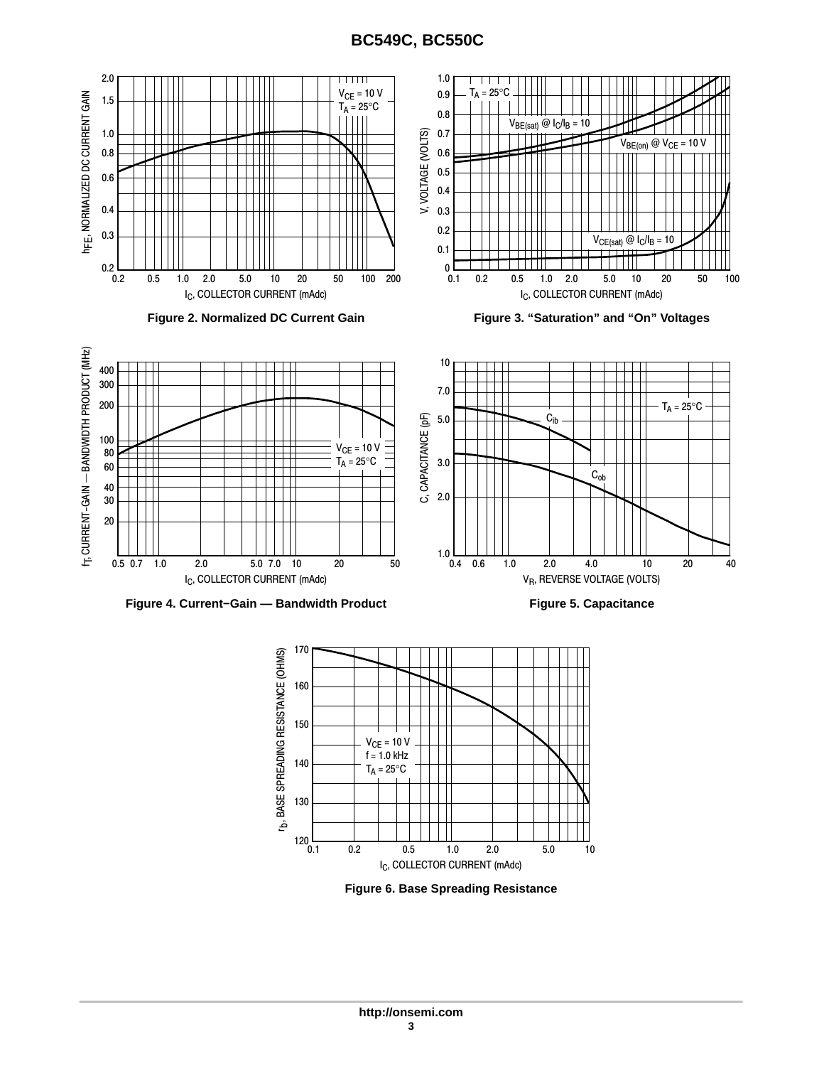## **BC549C, BC550C**